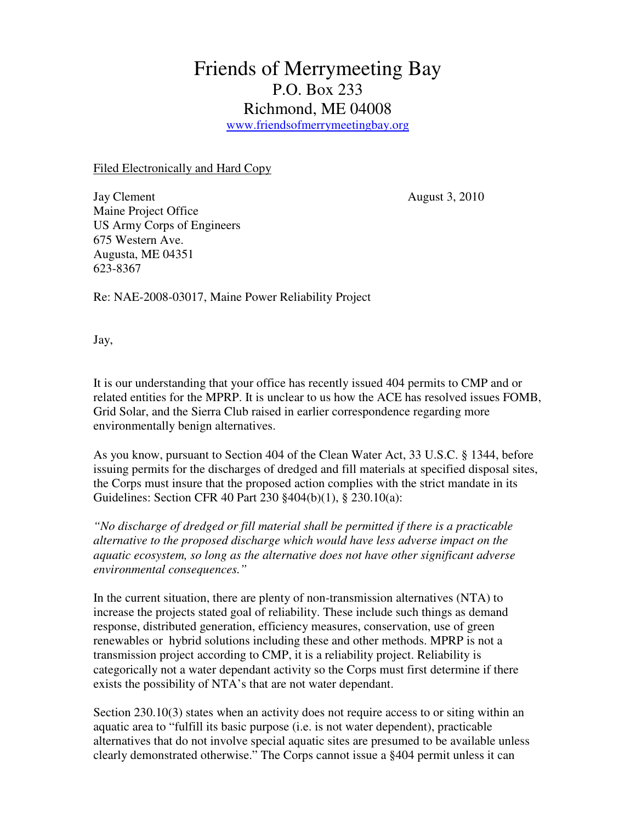## Friends of Merrymeeting Bay P.O. Box 233 Richmond, ME 04008 www.friendsofmerrymeetingbay.org

Filed Electronically and Hard Copy

Jay Clement August 3, 2010 Maine Project Office US Army Corps of Engineers 675 Western Ave. Augusta, ME 04351 623-8367

Re: NAE-2008-03017, Maine Power Reliability Project

Jay,

It is our understanding that your office has recently issued 404 permits to CMP and or related entities for the MPRP. It is unclear to us how the ACE has resolved issues FOMB, Grid Solar, and the Sierra Club raised in earlier correspondence regarding more environmentally benign alternatives.

As you know, pursuant to Section 404 of the Clean Water Act, 33 U.S.C. § 1344, before issuing permits for the discharges of dredged and fill materials at specified disposal sites, the Corps must insure that the proposed action complies with the strict mandate in its Guidelines: Section CFR 40 Part 230 §404(b)(1), § 230.10(a):

*"No discharge of dredged or fill material shall be permitted if there is a practicable alternative to the proposed discharge which would have less adverse impact on the aquatic ecosystem, so long as the alternative does not have other significant adverse environmental consequences."* 

In the current situation, there are plenty of non-transmission alternatives (NTA) to increase the projects stated goal of reliability. These include such things as demand response, distributed generation, efficiency measures, conservation, use of green renewables or hybrid solutions including these and other methods. MPRP is not a transmission project according to CMP, it is a reliability project. Reliability is categorically not a water dependant activity so the Corps must first determine if there exists the possibility of NTA's that are not water dependant.

Section 230.10(3) states when an activity does not require access to or siting within an aquatic area to "fulfill its basic purpose (i.e. is not water dependent), practicable alternatives that do not involve special aquatic sites are presumed to be available unless clearly demonstrated otherwise." The Corps cannot issue a §404 permit unless it can